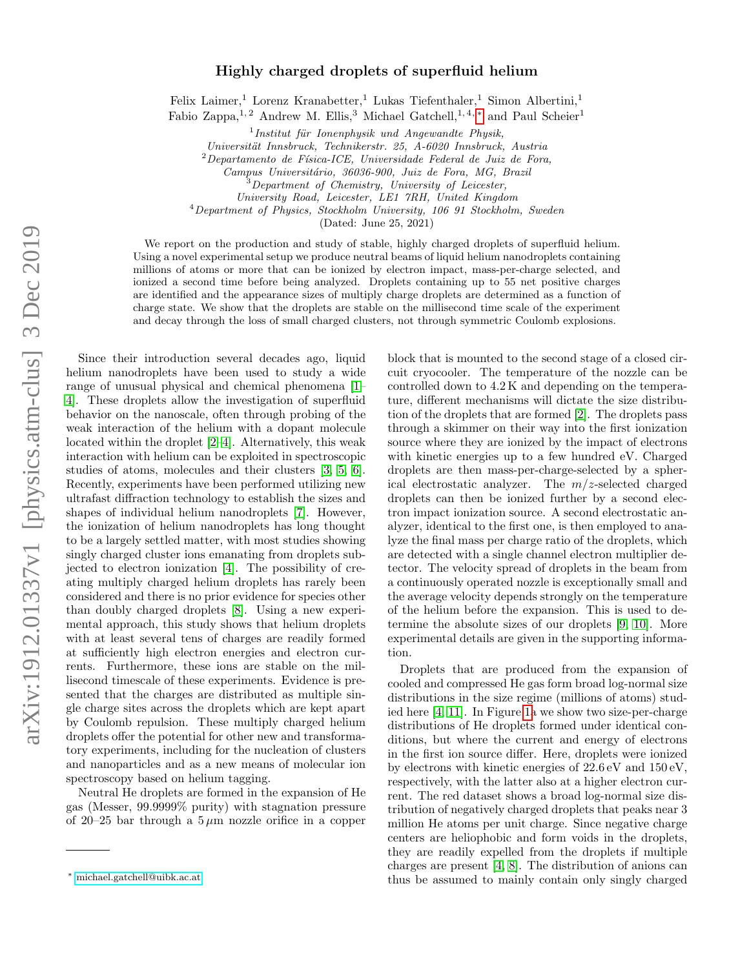## Highly charged droplets of superfluid helium

Felix Laimer,<sup>1</sup> Lorenz Kranabetter,<sup>1</sup> Lukas Tiefenthaler,<sup>1</sup> Simon Albertini,<sup>1</sup> Fabio Zappa,<sup>1, 2</sup> Andrew M. Ellis,<sup>3</sup> Michael Gatchell,<sup>1, 4, \*</sup> and Paul Scheier<sup>1</sup>

 $1$ Institut für Ionenphysik und Angewandte Physik,

Universität Innsbruck, Technikerstr. 25, A-6020 Innsbruck, Austria

 $2$ Departamento de Física-ICE, Universidade Federal de Juiz de Fora,

<sup>3</sup>Department of Chemistry, University of Leicester,

University Road, Leicester, LE1 7RH, United Kingdom

 $4$ Department of Physics, Stockholm University, 106 91 Stockholm, Sweden

(Dated: June 25, 2021)

We report on the production and study of stable, highly charged droplets of superfluid helium. Using a novel experimental setup we produce neutral beams of liquid helium nanodroplets containing millions of atoms or more that can be ionized by electron impact, mass-per-charge selected, and ionized a second time before being analyzed. Droplets containing up to 55 net positive charges are identified and the appearance sizes of multiply charge droplets are determined as a function of charge state. We show that the droplets are stable on the millisecond time scale of the experiment and decay through the loss of small charged clusters, not through symmetric Coulomb explosions.

Since their introduction several decades ago, liquid helium nanodroplets have been used to study a wide range of unusual physical and chemical phenomena [\[1–](#page-4-0) [4\]](#page-4-1). These droplets allow the investigation of superfluid behavior on the nanoscale, often through probing of the weak interaction of the helium with a dopant molecule located within the droplet [\[2–](#page-4-2)[4\]](#page-4-1). Alternatively, this weak interaction with helium can be exploited in spectroscopic studies of atoms, molecules and their clusters [\[3,](#page-4-3) [5,](#page-4-4) [6\]](#page-4-5). Recently, experiments have been performed utilizing new ultrafast diffraction technology to establish the sizes and shapes of individual helium nanodroplets [\[7\]](#page-4-6). However, the ionization of helium nanodroplets has long thought to be a largely settled matter, with most studies showing singly charged cluster ions emanating from droplets subjected to electron ionization [\[4\]](#page-4-1). The possibility of creating multiply charged helium droplets has rarely been considered and there is no prior evidence for species other than doubly charged droplets [\[8\]](#page-4-7). Using a new experimental approach, this study shows that helium droplets with at least several tens of charges are readily formed at sufficiently high electron energies and electron currents. Furthermore, these ions are stable on the millisecond timescale of these experiments. Evidence is presented that the charges are distributed as multiple single charge sites across the droplets which are kept apart by Coulomb repulsion. These multiply charged helium droplets offer the potential for other new and transformatory experiments, including for the nucleation of clusters and nanoparticles and as a new means of molecular ion spectroscopy based on helium tagging.

Neutral He droplets are formed in the expansion of He gas (Messer, 99.9999% purity) with stagnation pressure of 20–25 bar through a  $5 \mu m$  nozzle orifice in a copper

block that is mounted to the second stage of a closed circuit cryocooler. The temperature of the nozzle can be controlled down to 4.2 K and depending on the temperature, different mechanisms will dictate the size distribution of the droplets that are formed [\[2\]](#page-4-2). The droplets pass through a skimmer on their way into the first ionization source where they are ionized by the impact of electrons with kinetic energies up to a few hundred eV. Charged droplets are then mass-per-charge-selected by a spherical electrostatic analyzer. The  $m/z$ -selected charged droplets can then be ionized further by a second electron impact ionization source. A second electrostatic analyzer, identical to the first one, is then employed to analyze the final mass per charge ratio of the droplets, which are detected with a single channel electron multiplier detector. The velocity spread of droplets in the beam from a continuously operated nozzle is exceptionally small and the average velocity depends strongly on the temperature of the helium before the expansion. This is used to determine the absolute sizes of our droplets [\[9,](#page-4-8) [10\]](#page-4-9). More experimental details are given in the supporting information.

Droplets that are produced from the expansion of cooled and compressed He gas form broad log-normal size distributions in the size regime (millions of atoms) studied here [\[4,](#page-4-1) [11\]](#page-4-10). In Figure [1a](#page-1-0) we show two size-per-charge distributions of He droplets formed under identical conditions, but where the current and energy of electrons in the first ion source differ. Here, droplets were ionized by electrons with kinetic energies of 22.6 eV and 150 eV, respectively, with the latter also at a higher electron current. The red dataset shows a broad log-normal size distribution of negatively charged droplets that peaks near 3 million He atoms per unit charge. Since negative charge centers are heliophobic and form voids in the droplets, they are readily expelled from the droplets if multiple charges are present [\[4,](#page-4-1) [8\]](#page-4-7). The distribution of anions can thus be assumed to mainly contain only singly charged

Campus Universitário, 36036-900, Juiz de Fora, MG, Brazil

<span id="page-0-0"></span><sup>∗</sup> [michael.gatchell@uibk.ac.at](mailto:michael.gatchell@uibk.ac.at)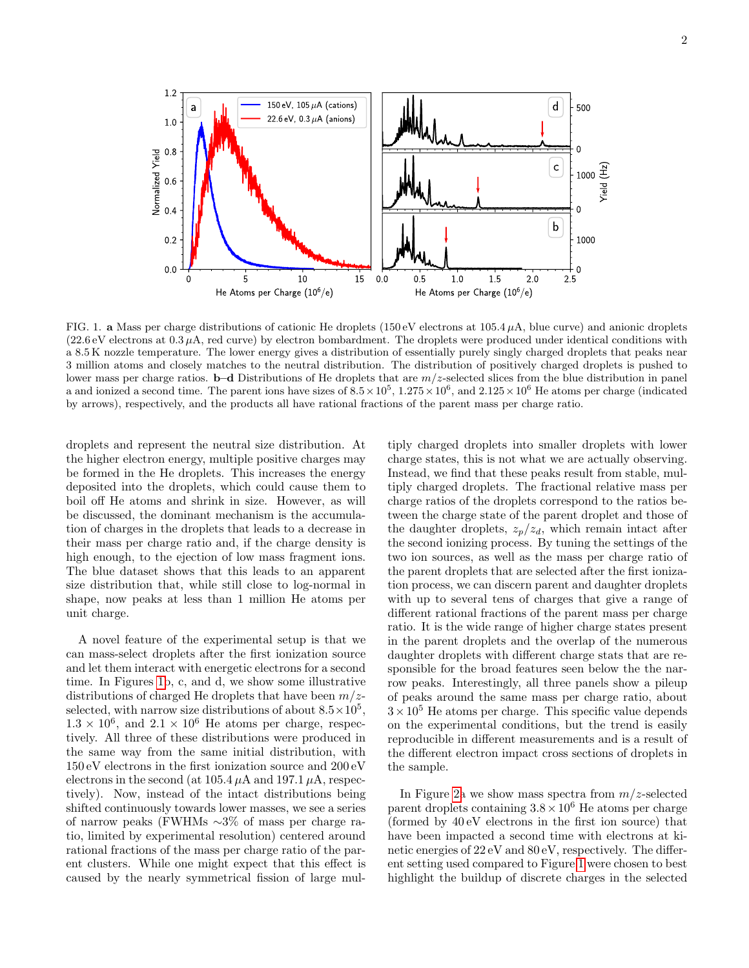

<span id="page-1-0"></span>FIG. 1. a Mass per charge distributions of cationic He droplets (150 eV electrons at  $105.4 \mu\text{A}$ , blue curve) and anionic droplets  $(22.6 \text{ eV electrons at } 0.3 \mu\text{A}$ , red curve) by electron bombardment. The droplets were produced under identical conditions with a 8.5 K nozzle temperature. The lower energy gives a distribution of essentially purely singly charged droplets that peaks near 3 million atoms and closely matches to the neutral distribution. The distribution of positively charged droplets is pushed to lower mass per charge ratios. **b–d** Distributions of He droplets that are  $m/z$ -selected slices from the blue distribution in panel a and ionized a second time. The parent ions have sizes of  $8.5 \times 10^5$ ,  $1.275 \times 10^6$ , and  $2.125 \times 10^6$  He atoms per charge (indicated by arrows), respectively, and the products all have rational fractions of the parent mass per charge ratio.

droplets and represent the neutral size distribution. At the higher electron energy, multiple positive charges may be formed in the He droplets. This increases the energy deposited into the droplets, which could cause them to boil off He atoms and shrink in size. However, as will be discussed, the dominant mechanism is the accumulation of charges in the droplets that leads to a decrease in their mass per charge ratio and, if the charge density is high enough, to the ejection of low mass fragment ions. The blue dataset shows that this leads to an apparent size distribution that, while still close to log-normal in shape, now peaks at less than 1 million He atoms per unit charge.

A novel feature of the experimental setup is that we can mass-select droplets after the first ionization source and let them interact with energetic electrons for a second time. In Figures [1b](#page-1-0), c, and d, we show some illustrative distributions of charged He droplets that have been  $m/z$ selected, with narrow size distributions of about  $8.5 \times 10^5$ ,  $1.3 \times 10^6$ , and  $2.1 \times 10^6$  He atoms per charge, respectively. All three of these distributions were produced in the same way from the same initial distribution, with 150 eV electrons in the first ionization source and 200 eV electrons in the second (at  $105.4 \mu$ A and  $197.1 \mu$ A, respectively). Now, instead of the intact distributions being shifted continuously towards lower masses, we see a series of narrow peaks (FWHMs ∼3% of mass per charge ratio, limited by experimental resolution) centered around rational fractions of the mass per charge ratio of the parent clusters. While one might expect that this effect is caused by the nearly symmetrical fission of large mul-

tiply charged droplets into smaller droplets with lower charge states, this is not what we are actually observing. Instead, we find that these peaks result from stable, multiply charged droplets. The fractional relative mass per charge ratios of the droplets correspond to the ratios between the charge state of the parent droplet and those of the daughter droplets,  $z_p/z_d$ , which remain intact after the second ionizing process. By tuning the settings of the two ion sources, as well as the mass per charge ratio of the parent droplets that are selected after the first ionization process, we can discern parent and daughter droplets with up to several tens of charges that give a range of different rational fractions of the parent mass per charge ratio. It is the wide range of higher charge states present in the parent droplets and the overlap of the numerous daughter droplets with different charge stats that are responsible for the broad features seen below the the narrow peaks. Interestingly, all three panels show a pileup of peaks around the same mass per charge ratio, about  $3 \times 10^5$  He atoms per charge. This specific value depends on the experimental conditions, but the trend is easily reproducible in different measurements and is a result of the different electron impact cross sections of droplets in the sample.

In Figure [2a](#page-2-0) we show mass spectra from  $m/z$ -selected parent droplets containing  $3.8 \times 10^6$  He atoms per charge (formed by 40 eV electrons in the first ion source) that have been impacted a second time with electrons at kinetic energies of 22 eV and 80 eV, respectively. The different setting used compared to Figure [1](#page-1-0) were chosen to best highlight the buildup of discrete charges in the selected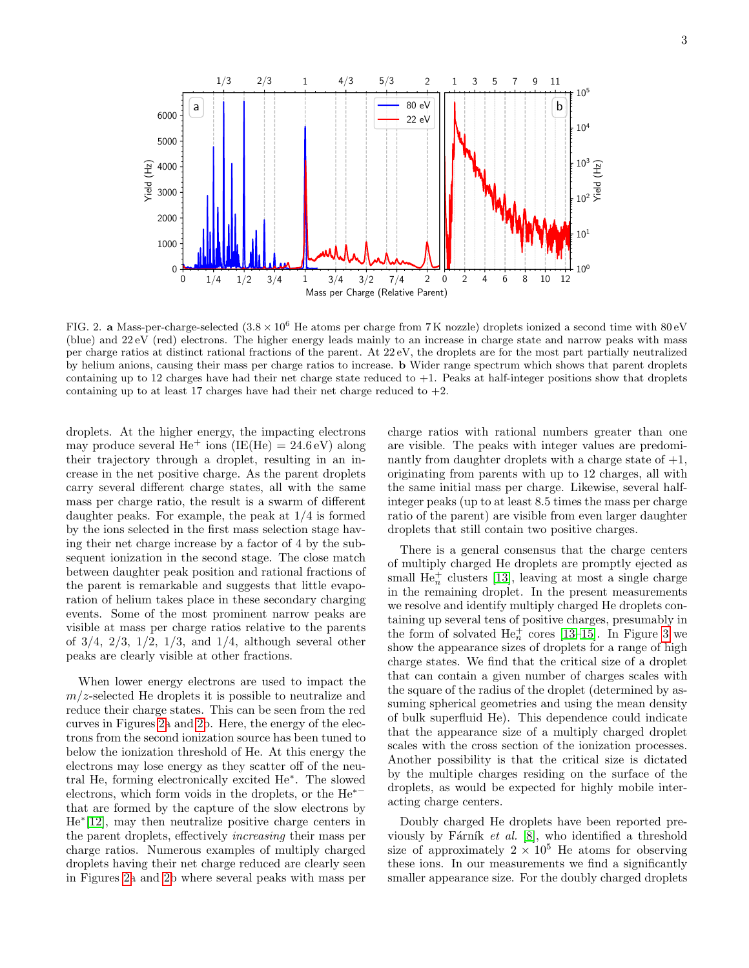

<span id="page-2-0"></span>FIG. 2. a Mass-per-charge-selected  $(3.8 \times 10^6$  He atoms per charge from 7K nozzle) droplets ionized a second time with 80 eV (blue) and 22 eV (red) electrons. The higher energy leads mainly to an increase in charge state and narrow peaks with mass per charge ratios at distinct rational fractions of the parent. At 22 eV, the droplets are for the most part partially neutralized by helium anions, causing their mass per charge ratios to increase. b Wider range spectrum which shows that parent droplets containing up to 12 charges have had their net charge state reduced to  $+1$ . Peaks at half-integer positions show that droplets containing up to at least 17 charges have had their net charge reduced to  $+2$ .

droplets. At the higher energy, the impacting electrons may produce several  $He^+$  ions (IE(He) = 24.6 eV) along their trajectory through a droplet, resulting in an increase in the net positive charge. As the parent droplets carry several different charge states, all with the same mass per charge ratio, the result is a swarm of different daughter peaks. For example, the peak at 1/4 is formed by the ions selected in the first mass selection stage having their net charge increase by a factor of 4 by the subsequent ionization in the second stage. The close match between daughter peak position and rational fractions of the parent is remarkable and suggests that little evaporation of helium takes place in these secondary charging events. Some of the most prominent narrow peaks are visible at mass per charge ratios relative to the parents of  $3/4$ ,  $2/3$ ,  $1/2$ ,  $1/3$ , and  $1/4$ , although several other peaks are clearly visible at other fractions.

When lower energy electrons are used to impact the  $m/z$ -selected He droplets it is possible to neutralize and reduce their charge states. This can be seen from the red curves in Figures [2a](#page-2-0) and [2b](#page-2-0). Here, the energy of the electrons from the second ionization source has been tuned to below the ionization threshold of He. At this energy the electrons may lose energy as they scatter off of the neutral He, forming electronically excited He<sup>∗</sup> . The slowed electrons, which form voids in the droplets, or the He∗− that are formed by the capture of the slow electrons by He<sup>∗</sup> [\[12\]](#page-4-11), may then neutralize positive charge centers in the parent droplets, effectively increasing their mass per charge ratios. Numerous examples of multiply charged droplets having their net charge reduced are clearly seen in Figures [2a](#page-2-0) and [2b](#page-2-0) where several peaks with mass per

charge ratios with rational numbers greater than one are visible. The peaks with integer values are predominantly from daughter droplets with a charge state of  $+1$ , originating from parents with up to 12 charges, all with the same initial mass per charge. Likewise, several halfinteger peaks (up to at least 8.5 times the mass per charge ratio of the parent) are visible from even larger daughter droplets that still contain two positive charges.

There is a general consensus that the charge centers of multiply charged He droplets are promptly ejected as small  $He_n^+$  clusters [\[13\]](#page-4-12), leaving at most a single charge in the remaining droplet. In the present measurements we resolve and identify multiply charged He droplets containing up several tens of positive charges, presumably in the form of solvated  $He_n^+$  cores [\[13](#page-4-12)[–15\]](#page-4-13). In Figure [3](#page-3-0) we show the appearance sizes of droplets for a range of high charge states. We find that the critical size of a droplet that can contain a given number of charges scales with the square of the radius of the droplet (determined by assuming spherical geometries and using the mean density of bulk superfluid He). This dependence could indicate that the appearance size of a multiply charged droplet scales with the cross section of the ionization processes. Another possibility is that the critical size is dictated by the multiple charges residing on the surface of the droplets, as would be expected for highly mobile interacting charge centers.

Doubly charged He droplets have been reported previously by Fárník et al.  $[8]$ , who identified a threshold size of approximately  $2 \times 10^5$  He atoms for observing these ions. In our measurements we find a significantly smaller appearance size. For the doubly charged droplets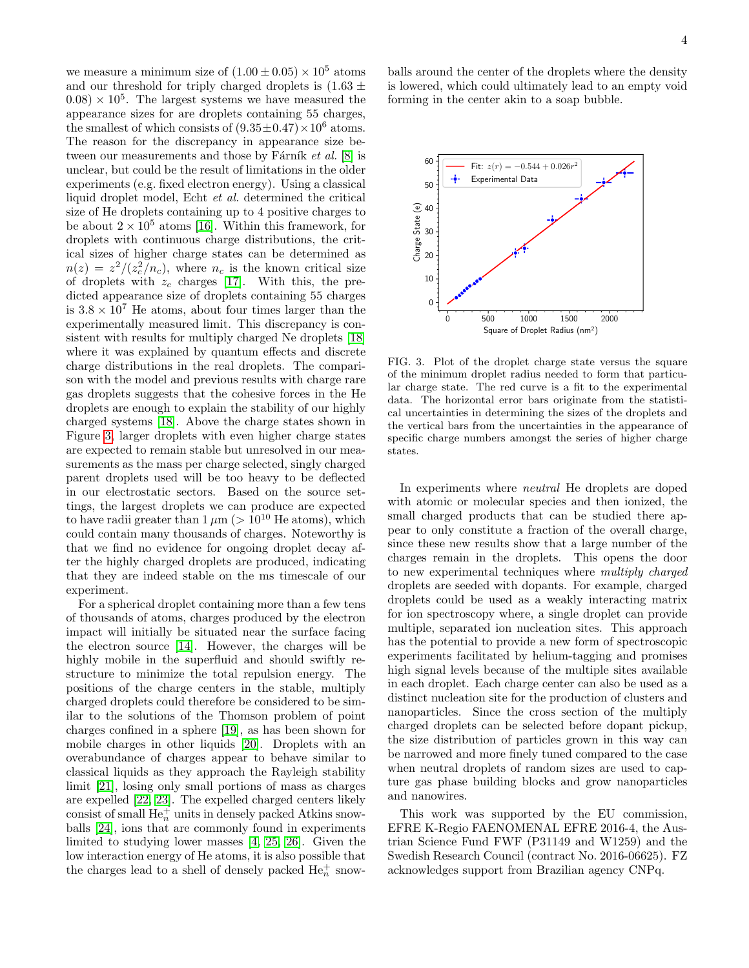we measure a minimum size of  $(1.00 \pm 0.05) \times 10^5$  atoms and our threshold for triply charged droplets is  $(1.63 \pm$  $(0.08) \times 10^5$ . The largest systems we have measured the appearance sizes for are droplets containing 55 charges, the smallest of which consists of  $(9.35\pm0.47)\times10^6$  atoms. The reason for the discrepancy in appearance size between our measurements and those by Fárník et al.  $[8]$  is unclear, but could be the result of limitations in the older experiments (e.g. fixed electron energy). Using a classical liquid droplet model, Echt et al. determined the critical size of He droplets containing up to 4 positive charges to be about  $2 \times 10^5$  atoms [\[16\]](#page-4-14). Within this framework, for droplets with continuous charge distributions, the critical sizes of higher charge states can be determined as  $n(z) = z^2/(z_c^2/n_c)$ , where  $n_c$  is the known critical size of droplets with  $z_c$  charges [\[17\]](#page-4-15). With this, the predicted appearance size of droplets containing 55 charges is  $3.8 \times 10^7$  He atoms, about four times larger than the experimentally measured limit. This discrepancy is consistent with results for multiply charged Ne droplets [\[18\]](#page-4-16) where it was explained by quantum effects and discrete charge distributions in the real droplets. The comparison with the model and previous results with charge rare gas droplets suggests that the cohesive forces in the He droplets are enough to explain the stability of our highly charged systems [\[18\]](#page-4-16). Above the charge states shown in Figure [3,](#page-3-0) larger droplets with even higher charge states are expected to remain stable but unresolved in our measurements as the mass per charge selected, singly charged parent droplets used will be too heavy to be deflected in our electrostatic sectors. Based on the source settings, the largest droplets we can produce are expected to have radii greater than  $1 \mu m$  ( $> 10^{10}$  He atoms), which could contain many thousands of charges. Noteworthy is that we find no evidence for ongoing droplet decay after the highly charged droplets are produced, indicating that they are indeed stable on the ms timescale of our experiment.

For a spherical droplet containing more than a few tens of thousands of atoms, charges produced by the electron impact will initially be situated near the surface facing the electron source [\[14\]](#page-4-17). However, the charges will be highly mobile in the superfluid and should swiftly restructure to minimize the total repulsion energy. The positions of the charge centers in the stable, multiply charged droplets could therefore be considered to be similar to the solutions of the Thomson problem of point charges confined in a sphere [\[19\]](#page-4-18), as has been shown for mobile charges in other liquids [\[20\]](#page-4-19). Droplets with an overabundance of charges appear to behave similar to classical liquids as they approach the Rayleigh stability limit [\[21\]](#page-4-20), losing only small portions of mass as charges are expelled [\[22,](#page-4-21) [23\]](#page-4-22). The expelled charged centers likely consist of small  $He_n^+$  units in densely packed Atkins snowballs [\[24\]](#page-4-23), ions that are commonly found in experiments limited to studying lower masses [\[4,](#page-4-1) [25,](#page-4-24) [26\]](#page-4-25). Given the low interaction energy of He atoms, it is also possible that the charges lead to a shell of densely packed  ${\rm He}_{n}^{+}$  snow-

balls around the center of the droplets where the density is lowered, which could ultimately lead to an empty void forming in the center akin to a soap bubble.



<span id="page-3-0"></span>FIG. 3. Plot of the droplet charge state versus the square of the minimum droplet radius needed to form that particular charge state. The red curve is a fit to the experimental data. The horizontal error bars originate from the statistical uncertainties in determining the sizes of the droplets and the vertical bars from the uncertainties in the appearance of specific charge numbers amongst the series of higher charge states.

In experiments where *neutral* He droplets are doped with atomic or molecular species and then ionized, the small charged products that can be studied there appear to only constitute a fraction of the overall charge, since these new results show that a large number of the charges remain in the droplets. This opens the door to new experimental techniques where multiply charged droplets are seeded with dopants. For example, charged droplets could be used as a weakly interacting matrix for ion spectroscopy where, a single droplet can provide multiple, separated ion nucleation sites. This approach has the potential to provide a new form of spectroscopic experiments facilitated by helium-tagging and promises high signal levels because of the multiple sites available in each droplet. Each charge center can also be used as a distinct nucleation site for the production of clusters and nanoparticles. Since the cross section of the multiply charged droplets can be selected before dopant pickup, the size distribution of particles grown in this way can be narrowed and more finely tuned compared to the case when neutral droplets of random sizes are used to capture gas phase building blocks and grow nanoparticles and nanowires.

This work was supported by the EU commission, EFRE K-Regio FAENOMENAL EFRE 2016-4, the Austrian Science Fund FWF (P31149 and W1259) and the Swedish Research Council (contract No. 2016-06625). FZ acknowledges support from Brazilian agency CNPq.